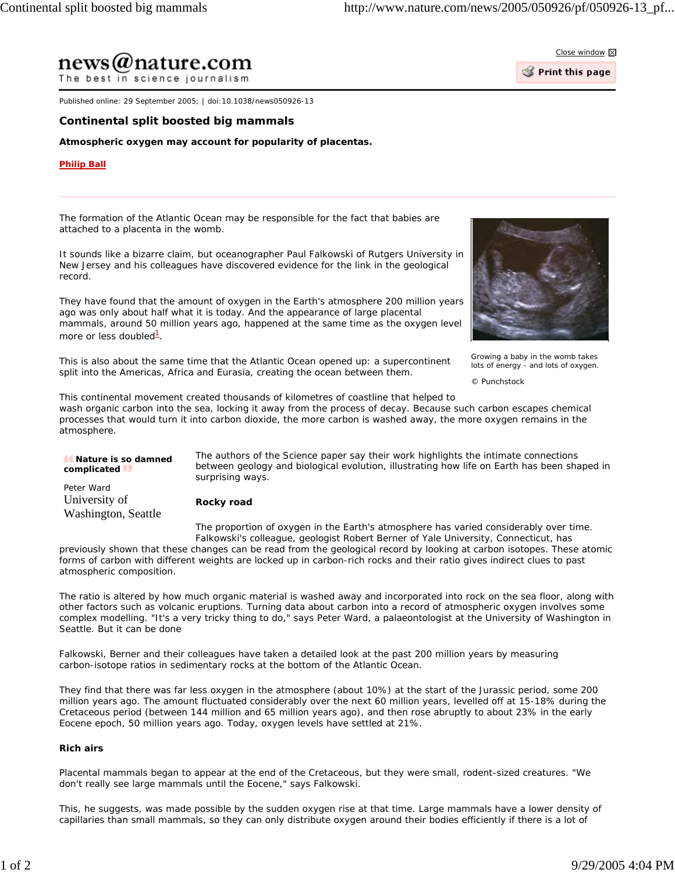

 $\mathcal G$  Print this page

The best in science journalism

news@nature.com

Published online: 29 September 2005; | doi:10.1038/news050926-13

## **Continental split boosted big mammals**

**Atmospheric oxygen may account for popularity of placentas.**

## **Philip Ball**

The formation of the Atlantic Ocean may be responsible for the fact that babies are attached to a placenta in the womb.

It sounds like a bizarre claim, but oceanographer Paul Falkowski of Rutgers University in New Jersey and his colleagues have discovered evidence for the link in the geological record.

They have found that the amount of oxygen in the Earth's atmosphere 200 million years ago was only about half what it is today. And the appearance of large placental mammals, around 50 million years ago, happened at the same time as the oxygen level more or less doubled<sup>1</sup>.

This is also about the same time that the Atlantic Ocean opened up: a supercontinent split into the Americas, Africa and Eurasia, creating the ocean between them.



Growing a baby in the womb takes lots of energy - and lots of oxygen.

*© Punchstock*

This continental movement created thousands of kilometres of coastline that helped to wash organic carbon into the sea, locking it away from the process of decay. Because such carbon escapes chemical processes that would turn it into carbon dioxide, the more carbon is washed away, the more oxygen remains in the atmosphere.

| Nature is so damned<br>complicated                 | The authors of the <i>Science</i> paper say their work highlights the intimate connections<br>between geology and biological evolution, illustrating how life on Earth has been shaped in<br>surprising ways. |
|----------------------------------------------------|---------------------------------------------------------------------------------------------------------------------------------------------------------------------------------------------------------------|
| Peter Ward<br>University of<br>Washington, Seattle | Rocky road                                                                                                                                                                                                    |
|                                                    | The proportion of oxygen in the Earth's atmosphere has varied considerably over time.                                                                                                                         |

Falkowski's colleague, geologist Robert Berner of Yale University, Connecticut, has previously shown that these changes can be read from the geological record by looking at carbon isotopes. These atomic forms of carbon with different weights are locked up in carbon-rich rocks and their ratio gives indirect clues to past atmospheric composition.

The ratio is altered by how much organic material is washed away and incorporated into rock on the sea floor, along with other factors such as volcanic eruptions. Turning data about carbon into a record of atmospheric oxygen involves some complex modelling. "It's a very tricky thing to do," says Peter Ward, a palaeontologist at the University of Washington in Seattle. But it can be done

Falkowski, Berner and their colleagues have taken a detailed look at the past 200 million years by measuring carbon-isotope ratios in sedimentary rocks at the bottom of the Atlantic Ocean.

They find that there was far less oxygen in the atmosphere (about 10%) at the start of the Jurassic period, some 200 million years ago. The amount fluctuated considerably over the next 60 million years, levelled off at 15-18% during the Cretaceous period (between 144 million and 65 million years ago), and then rose abruptly to about 23% in the early Eocene epoch, 50 million years ago. Today, oxygen levels have settled at 21%.

## **Rich airs**

Placental mammals began to appear at the end of the Cretaceous, but they were small, rodent-sized creatures. "We don't really see large mammals until the Eocene," says Falkowski.

This, he suggests, was made possible by the sudden oxygen rise at that time. Large mammals have a lower density of capillaries than small mammals, so they can only distribute oxygen around their bodies efficiently if there is a lot of